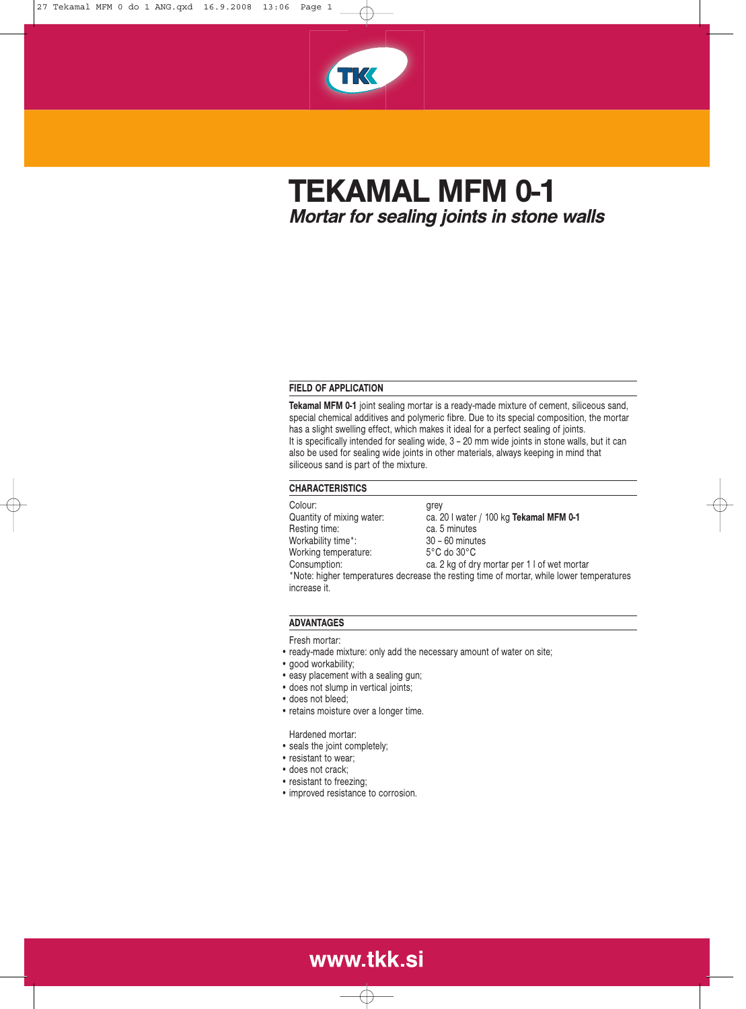

TEKAMAL MFM 0-1 Mortar for sealing joints in stone walls

# FIELD OF APPLICATION

Tekamal MFM 0-1 joint sealing mortar is a ready-made mixture of cement, siliceous sand, special chemical additives and polymeric fibre. Due to its special composition, the mortar has a slight swelling effect, which makes it ideal for a perfect sealing of joints. It is specifically intended for sealing wide, 3 – 20 mm wide joints in stone walls, but it can also be used for sealing wide joints in other materials, always keeping in mind that siliceous sand is part of the mixture.

## CHARACTERISTICS

Colour: grey Quantity of mixing water: ca. 20 I water / 100 kg Tekamal MFM 0-1 Resting time: ca. 5 minutes Workability time\*: 30 – 60 minutes Working temperature: 5°C do 30°C Consumption: ca. 2 kg of dry mortar per 1 l of wet mortar \*Note: higher temperatures decrease the resting time of mortar, while lower temperatures increase it.

# ADVANTAGES

- Fresh mortar:
- ready-made mixture: only add the necessary amount of water on site;
- good workability;
- easy placement with a sealing gun;
- does not slump in vertical joints;
- does not bleed;
- retains moisture over a longer time.
- Hardened mortar:
- seals the joint completely;
- resistant to wear;
- does not crack;
- resistant to freezing;
- improved resistance to corrosion.

# www.tkk.si